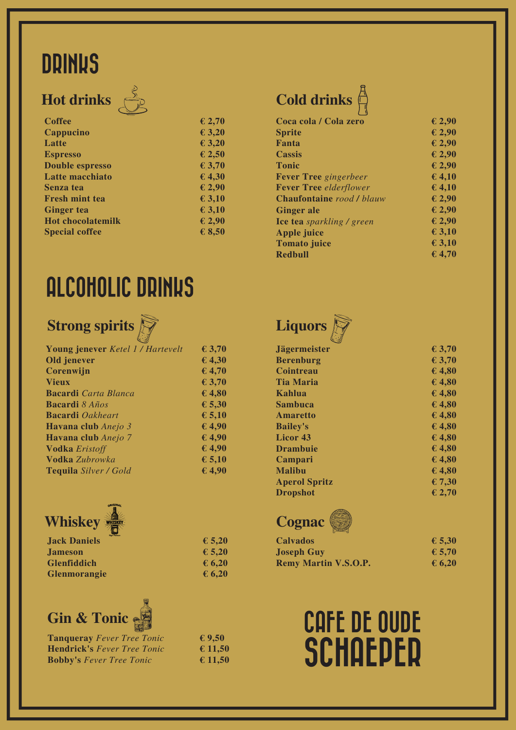## **DRINKS**

## **Hot drinks**



| <b>Coffee</b>            | £ 2,70   |
|--------------------------|----------|
| Cappucino                | £ 3,20   |
| Latte                    | £ 3,20   |
| <b>Espresso</b>          | £ 2,50   |
| <b>Double espresso</b>   | £ 3,70   |
| Latte macchiato          | £4,30    |
| Senza tea                | £ 2,90   |
| Fresh mint tea           | E3,10    |
| <b>Ginger tea</b>        | $E$ 3,10 |
| <b>Hot chocolatemilk</b> | £ 2,90   |
| <b>Special coffee</b>    | £ 8,50   |
|                          |          |

## **Cold drinks**

| Coca cola / Cola zero            | £ 2,90          |
|----------------------------------|-----------------|
| <b>Sprite</b>                    | £ 2,90          |
| Fanta                            | £ 2,90          |
| <b>Cassis</b>                    | $\epsilon$ 2,90 |
| <b>Tonic</b>                     | £ 2,90          |
| <b>Fever Tree</b> gingerbeer     | 64,10           |
| <b>Fever Tree</b> elderflower    | 64,10           |
| <b>Chaufontaine</b> rood / blauw | £ 2,90          |
| <b>Ginger</b> ale                | £ 2,90          |
| <b>Ice tea</b> sparkling / green | £ 2,90          |
| <b>Apple juice</b>               | E 3,10          |
| <b>Tomato juice</b>              | E 3,10          |
| Redbull                          | 64,70           |
|                                  |                 |

## ALCOHOLIC DRINKS

### **Strong spirits**

| <b>Young jenever</b> Ketel 1 / Hartevelt | £ 3,70 |
|------------------------------------------|--------|
| Old jenever                              | £4,30  |
| Corenwijn                                | 64,70  |
| <b>Vieux</b>                             | £ 3,70 |
| <b>Bacardi</b> Carta Blanca              | £4,80  |
| <b>Bacardi</b> 8 <i>Años</i>             | £ 5,30 |
| <b>Bacardi</b> Oakheart                  | 6,5,10 |
| Havana club Anejo 3                      | £4,90  |
| Havana club Anejo 7                      | £4,90  |
| <b>Vodka</b> Eristoff                    | £4,90  |
| <b>Vodka Zubrowka</b>                    | 6,5,10 |



| <b>Jägermeister</b>  | € 3,70                     |
|----------------------|----------------------------|
| <b>Berenburg</b>     | £ 3,70                     |
| Cointreau            | $\overline{\epsilon}$ 4,80 |
| <b>Tia Maria</b>     | £4,80                      |
| Kahlua               | £4,80                      |
| Sambuca              | £4,80                      |
| <b>Amaretto</b>      | £4,80                      |
| <b>Bailey's</b>      | £4,80                      |
| Licor 43             | € 4,80                     |
| <b>Drambuie</b>      | £4,80                      |
| Campari              | £4,80                      |
| <b>Malibu</b>        | $E$ 4,80                   |
| <b>Aperol Spritz</b> | £ 7,30                     |
| <b>Dropshot</b>      | $\epsilon$ 2,70            |
|                      |                            |



**Tequila** *Silver / Gold*

**Jack Daniels Jameson Glenfiddich Glenmorangie**

|  | $\epsilon$ 5,20              |
|--|------------------------------|
|  | $\epsilon$ 5,20              |
|  | $\boldsymbol{\epsilon}$ 6,20 |
|  | $\epsilon$ 6,20              |

**€ 4,90**



| <b>Tanqueray</b> Fever Tree Tonic  | € |
|------------------------------------|---|
| <b>Hendrick's Fever Tree Tonic</b> | € |
| <b>Bobby's Fever Tree Tonic</b>    | € |

**€ 9,50 € 11,50 € 11,50**

## **Cognac**

| <b>Calvados</b>             | £ 5,30 |
|-----------------------------|--------|
| <b>Joseph Guy</b>           | € 5,70 |
| <b>Remy Martin V.S.O.P.</b> | 6,20   |

# CAFE DE OUDE **SCHAEPER**